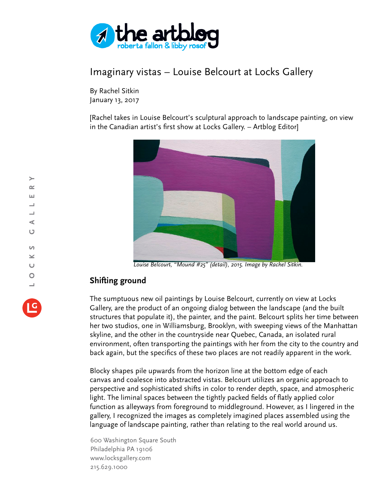

## Imaginary vistas – Louise Belcourt at Locks Gallery

By Rachel Sitkin January 13, 2017

[Rachel takes in Louise Belcourt's sculptural approach to landscape painting, on view in the Canadian artist's first show at Locks Gallery. – Artblog Editor]



*Louise Belcourt, "Mound #25" (detail), 2015. Image by Rachel Sitkin.*

## **Shifting ground**

The sumptuous new oil paintings by Louise Belcourt, currently on view at Locks Gallery, are the product of an ongoing dialog between the landscape (and the built structures that populate it), the painter, and the paint. Belcourt splits her time between her two studios, one in Williamsburg, Brooklyn, with sweeping views of the Manhattan skyline, and the other in the countryside near Quebec, Canada, an isolated rural environment, often transporting the paintings with her from the city to the country and back again, but the specifics of these two places are not readily apparent in the work.

Blocky shapes pile upwards from the horizon line at the bottom edge of each canvas and coalesce into abstracted vistas. Belcourt utilizes an organic approach to perspective and sophisticated shifts in color to render depth, space, and atmospheric light. The liminal spaces between the tightly packed fields of flatly applied color function as alleyways from foreground to middleground. However, as I lingered in the gallery, I recognized the images as completely imagined places assembled using the language of landscape painting, rather than relating to the real world around us.

600 Washington Square South Philadelphia PA 19106 www.locksgallery.com 215.629.1000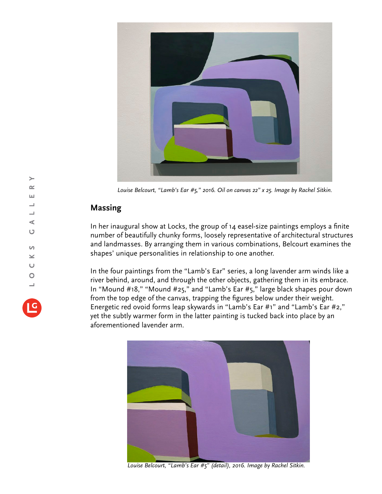

*Louise Belcourt, "Lamb's Ear #5," 2016. Oil on canvas 22" x 25. Image by Rachel Sitkin.*

## **Massing**

In her inaugural show at Locks, the group of 14 easel-size paintings employs a finite number of beautifully chunky forms, loosely representative of architectural structures and landmasses. By arranging them in various combinations, Belcourt examines the shapes' unique personalities in relationship to one another.

In the four paintings from the "Lamb's Ear" series, a long lavender arm winds like a river behind, around, and through the other objects, gathering them in its embrace. In "Mound #18," "Mound #25," and "Lamb's Ear #5," large black shapes pour down from the top edge of the canvas, trapping the figures below under their weight. Energetic red ovoid forms leap skywards in "Lamb's Ear #1" and "Lamb's Ear #2," yet the subtly warmer form in the latter painting is tucked back into place by an aforementioned lavender arm.



*Louise Belcourt, "Lamb's Ear #5" (detail), 2016. Image by Rachel Sitkin.*